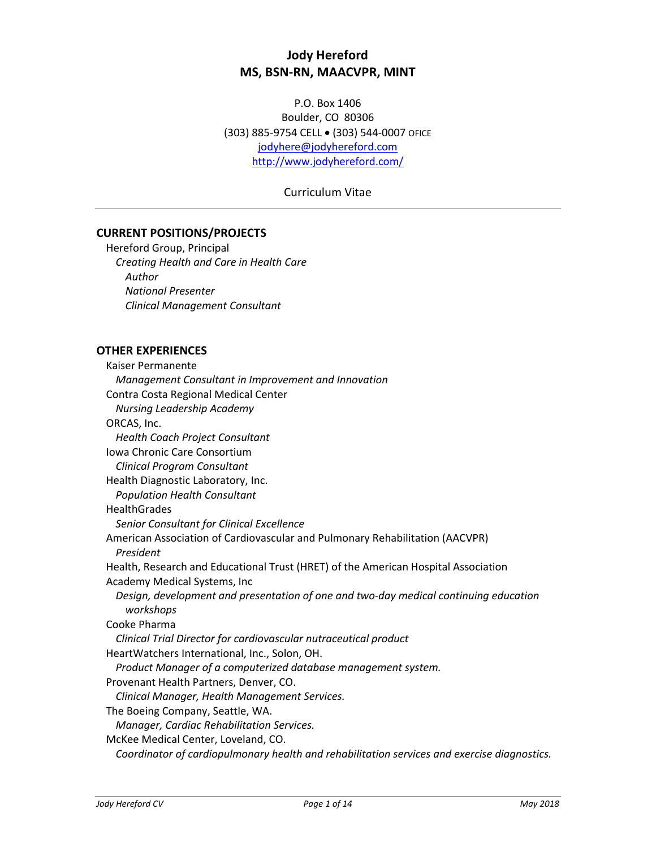# **Jody Hereford MS, BSN-RN, MAACVPR, MINT**

P.O. Box 1406 Boulder, CO 80306 (303) 885-9754 CELL • (303) 544-0007 OFICE [jodyhere@jodyhereford.com](mailto:jodyhere@jodyhereford.com) <http://www.jodyhereford.com/>

Curriculum Vitae

## **CURRENT POSITIONS/PROJECTS**

Hereford Group, Principal *Creating Health and Care in Health Care Author National Presenter Clinical Management Consultant*

#### **OTHER EXPERIENCES**

Kaiser Permanente *Management Consultant in Improvement and Innovation* Contra Costa Regional Medical Center *Nursing Leadership Academy* ORCAS, Inc. *Health Coach Project Consultant* Iowa Chronic Care Consortium *Clinical Program Consultant* Health Diagnostic Laboratory, Inc. *Population Health Consultant* **HealthGrades** *Senior Consultant for Clinical Excellence* American Association of Cardiovascular and Pulmonary Rehabilitation (AACVPR) *President* Health, Research and Educational Trust (HRET) of the American Hospital Association Academy Medical Systems, Inc *Design, development and presentation of one and two-day medical continuing education workshops*  Cooke Pharma *Clinical Trial Director for cardiovascular nutraceutical product* HeartWatchers International, Inc., Solon, OH. *Product Manager of a computerized database management system.* Provenant Health Partners, Denver, CO. *Clinical Manager, Health Management Services.* The Boeing Company, Seattle, WA. *Manager, Cardiac Rehabilitation Services.* McKee Medical Center, Loveland, CO. *Coordinator of cardiopulmonary health and rehabilitation services and exercise diagnostics.*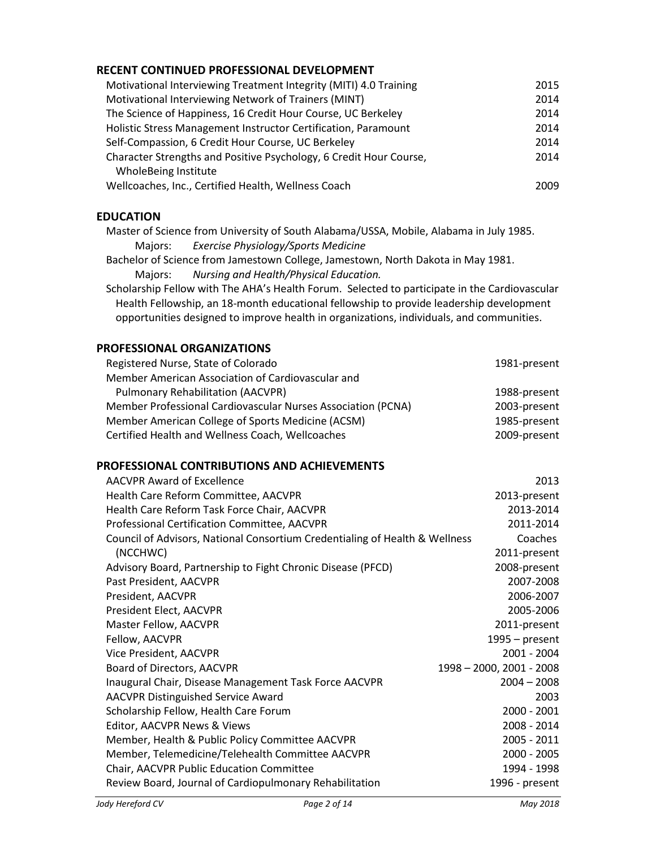# **RECENT CONTINUED PROFESSIONAL DEVELOPMENT**

| Motivational Interviewing Treatment Integrity (MITI) 4.0 Training  | 2015 |
|--------------------------------------------------------------------|------|
| Motivational Interviewing Network of Trainers (MINT)               | 2014 |
| The Science of Happiness, 16 Credit Hour Course, UC Berkeley       | 2014 |
| Holistic Stress Management Instructor Certification, Paramount     | 2014 |
| Self-Compassion, 6 Credit Hour Course, UC Berkeley                 | 2014 |
| Character Strengths and Positive Psychology, 6 Credit Hour Course, | 2014 |
| WholeBeing Institute                                               |      |
| Wellcoaches, Inc., Certified Health, Wellness Coach                | 2009 |

## **EDUCATION**

Master of Science from University of South Alabama/USSA, Mobile, Alabama in July 1985. Majors: *Exercise Physiology/Sports Medicine*

Bachelor of Science from Jamestown College, Jamestown, North Dakota in May 1981. Majors: *Nursing and Health/Physical Education.*

Scholarship Fellow with The AHA's Health Forum. Selected to participate in the Cardiovascular Health Fellowship, an 18-month educational fellowship to provide leadership development opportunities designed to improve health in organizations, individuals, and communities.

## **PROFESSIONAL ORGANIZATIONS**

| 1981-present |
|--------------|
|              |
| 1988-present |
| 2003-present |
| 1985-present |
| 2009-present |
|              |

## **PROFESSIONAL CONTRIBUTIONS AND ACHIEVEMENTS**

| <b>AACVPR Award of Excellence</b>                                           | 2013                     |
|-----------------------------------------------------------------------------|--------------------------|
| Health Care Reform Committee, AACVPR                                        | 2013-present             |
| Health Care Reform Task Force Chair, AACVPR                                 | 2013-2014                |
| Professional Certification Committee, AACVPR                                | 2011-2014                |
| Council of Advisors, National Consortium Credentialing of Health & Wellness | Coaches                  |
| (NCCHWC)                                                                    | 2011-present             |
| Advisory Board, Partnership to Fight Chronic Disease (PFCD)                 | 2008-present             |
| Past President, AACVPR                                                      | 2007-2008                |
| President, AACVPR                                                           | 2006-2007                |
| President Elect, AACVPR                                                     | 2005-2006                |
| Master Fellow, AACVPR                                                       | 2011-present             |
| Fellow, AACVPR                                                              | $1995 - present$         |
| Vice President, AACVPR                                                      | 2001 - 2004              |
| Board of Directors, AACVPR                                                  | 1998 - 2000, 2001 - 2008 |
| Inaugural Chair, Disease Management Task Force AACVPR                       | $2004 - 2008$            |
| <b>AACVPR Distinguished Service Award</b>                                   | 2003                     |
| Scholarship Fellow, Health Care Forum                                       | 2000 - 2001              |
| Editor, AACVPR News & Views                                                 | 2008 - 2014              |
| Member, Health & Public Policy Committee AACVPR                             | 2005 - 2011              |
| Member, Telemedicine/Telehealth Committee AACVPR                            | 2000 - 2005              |
| Chair, AACVPR Public Education Committee                                    | 1994 - 1998              |
| Review Board, Journal of Cardiopulmonary Rehabilitation                     | 1996 - present           |
|                                                                             |                          |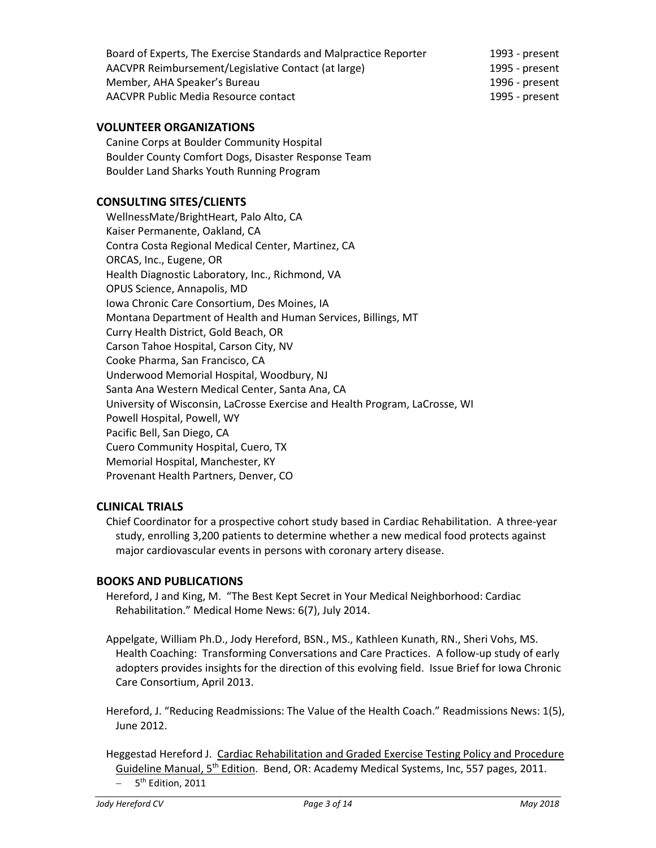| Board of Experts, The Exercise Standards and Malpractice Reporter | 1993 - present |
|-------------------------------------------------------------------|----------------|
| AACVPR Reimbursement/Legislative Contact (at large)               | 1995 - present |
| Member, AHA Speaker's Bureau                                      | 1996 - present |
| AACVPR Public Media Resource contact                              | 1995 - present |

## **VOLUNTEER ORGANIZATIONS**

Canine Corps at Boulder Community Hospital Boulder County Comfort Dogs, Disaster Response Team Boulder Land Sharks Youth Running Program

## **CONSULTING SITES/CLIENTS**

WellnessMate/BrightHeart, Palo Alto, CA Kaiser Permanente, Oakland, CA Contra Costa Regional Medical Center, Martinez, CA ORCAS, Inc., Eugene, OR Health Diagnostic Laboratory, Inc., Richmond, VA OPUS Science, Annapolis, MD Iowa Chronic Care Consortium, Des Moines, IA Montana Department of Health and Human Services, Billings, MT Curry Health District, Gold Beach, OR Carson Tahoe Hospital, Carson City, NV Cooke Pharma, San Francisco, CA Underwood Memorial Hospital, Woodbury, NJ Santa Ana Western Medical Center, Santa Ana, CA University of Wisconsin, LaCrosse Exercise and Health Program, LaCrosse, WI Powell Hospital, Powell, WY Pacific Bell, San Diego, CA Cuero Community Hospital, Cuero, TX Memorial Hospital, Manchester, KY Provenant Health Partners, Denver, CO

## **CLINICAL TRIALS**

Chief Coordinator for a prospective cohort study based in Cardiac Rehabilitation. A three-year study, enrolling 3,200 patients to determine whether a new medical food protects against major cardiovascular events in persons with coronary artery disease.

## **BOOKS AND PUBLICATIONS**

Hereford, J and King, M. "The Best Kept Secret in Your Medical Neighborhood: Cardiac Rehabilitation." Medical Home News: 6(7), July 2014.

Appelgate, William Ph.D., Jody Hereford, BSN., MS., Kathleen Kunath, RN., Sheri Vohs, MS. Health Coaching: Transforming Conversations and Care Practices. A follow-up study of early adopters provides insights for the direction of this evolving field. Issue Brief for Iowa Chronic Care Consortium, April 2013.

Hereford, J. "Reducing Readmissions: The Value of the Health Coach." Readmissions News: 1(5), June 2012.

Heggestad Hereford J. Cardiac Rehabilitation and Graded Exercise Testing Policy and Procedure Guideline Manual, 5<sup>th</sup> Edition. Bend, OR: Academy Medical Systems, Inc, 557 pages, 2011.  $-$  5<sup>th</sup> Edition, 2011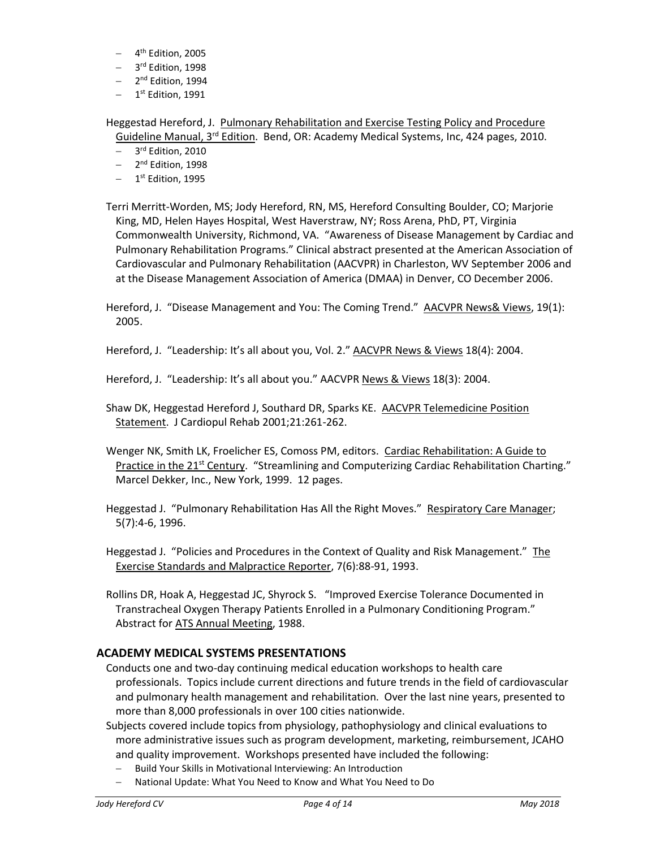- 4<sup>th</sup> Edition, 2005
- 3<sup>rd</sup> Edition, 1998
- 2<sup>nd</sup> Edition, 1994
- $-$  1<sup>st</sup> Edition, 1991

Heggestad Hereford, J. Pulmonary Rehabilitation and Exercise Testing Policy and Procedure Guideline Manual, 3<sup>rd</sup> Edition. Bend, OR: Academy Medical Systems, Inc, 424 pages, 2010.

- 3<sup>rd</sup> Edition, 2010
- 2<sup>nd</sup> Edition, 1998
- $-$  1<sup>st</sup> Edition, 1995

Terri Merritt-Worden, MS; Jody Hereford, RN, MS, Hereford Consulting Boulder, CO; Marjorie King, MD, Helen Hayes Hospital, West Haverstraw, NY; Ross Arena, PhD, PT, Virginia Commonwealth University, Richmond, VA. "Awareness of Disease Management by Cardiac and Pulmonary Rehabilitation Programs." Clinical abstract presented at the American Association of Cardiovascular and Pulmonary Rehabilitation (AACVPR) in Charleston, WV September 2006 and at the Disease Management Association of America (DMAA) in Denver, CO December 2006.

Hereford, J. "Disease Management and You: The Coming Trend." AACVPR News& Views, 19(1): 2005.

Hereford, J. "Leadership: It's all about you, Vol. 2." AACVPR News & Views 18(4): 2004.

Hereford, J. "Leadership: It's all about you." AACVPR News & Views 18(3): 2004.

Shaw DK, Heggestad Hereford J, Southard DR, Sparks KE. AACVPR Telemedicine Position Statement. J Cardiopul Rehab 2001;21:261-262.

Wenger NK, Smith LK, Froelicher ES, Comoss PM, editors. Cardiac Rehabilitation: A Guide to Practice in the 21<sup>st</sup> Century. "Streamlining and Computerizing Cardiac Rehabilitation Charting." Marcel Dekker, Inc., New York, 1999. 12 pages.

Heggestad J. "Pulmonary Rehabilitation Has All the Right Moves." Respiratory Care Manager; 5(7):4-6, 1996.

Heggestad J. "Policies and Procedures in the Context of Quality and Risk Management." The Exercise Standards and Malpractice Reporter, 7(6):88-91, 1993.

Rollins DR, Hoak A, Heggestad JC, Shyrock S. "Improved Exercise Tolerance Documented in Transtracheal Oxygen Therapy Patients Enrolled in a Pulmonary Conditioning Program." Abstract for ATS Annual Meeting, 1988.

## **ACADEMY MEDICAL SYSTEMS PRESENTATIONS**

Conducts one and two-day continuing medical education workshops to health care professionals. Topics include current directions and future trends in the field of cardiovascular and pulmonary health management and rehabilitation. Over the last nine years, presented to more than 8,000 professionals in over 100 cities nationwide.

Subjects covered include topics from physiology, pathophysiology and clinical evaluations to more administrative issues such as program development, marketing, reimbursement, JCAHO and quality improvement. Workshops presented have included the following:

- Build Your Skills in Motivational Interviewing: An Introduction
- National Update: What You Need to Know and What You Need to Do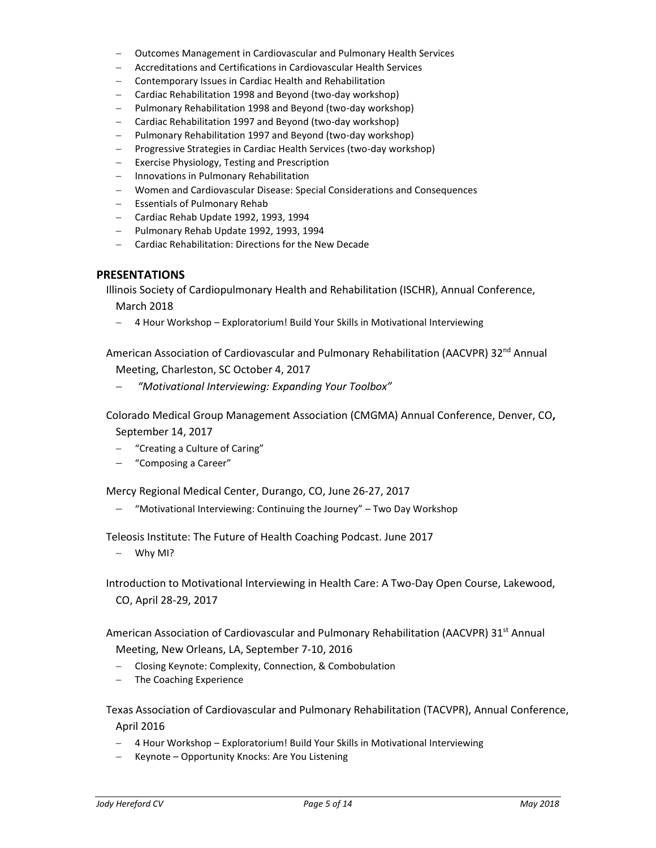- Outcomes Management in Cardiovascular and Pulmonary Health Services
- Accreditations and Certifications in Cardiovascular Health Services
- Contemporary Issues in Cardiac Health and Rehabilitation
- Cardiac Rehabilitation 1998 and Beyond (two-day workshop)
- Pulmonary Rehabilitation 1998 and Beyond (two-day workshop)
- Cardiac Rehabilitation 1997 and Beyond (two-day workshop)
- Pulmonary Rehabilitation 1997 and Beyond (two-day workshop)
- Progressive Strategies in Cardiac Health Services (two-day workshop)
- Exercise Physiology, Testing and Prescription
- Innovations in Pulmonary Rehabilitation
- Women and Cardiovascular Disease: Special Considerations and Consequences
- Essentials of Pulmonary Rehab
- Cardiac Rehab Update 1992, 1993, 1994
- Pulmonary Rehab Update 1992, 1993, 1994
- Cardiac Rehabilitation: Directions for the New Decade

#### **PRESENTATIONS**

Illinois Society of Cardiopulmonary Health and Rehabilitation (ISCHR), Annual Conference, March 2018

4 Hour Workshop – Exploratorium! Build Your Skills in Motivational Interviewing

American Association of Cardiovascular and Pulmonary Rehabilitation (AACVPR) 32<sup>nd</sup> Annual Meeting, Charleston, SC October 4, 2017

*"Motivational Interviewing: Expanding Your Toolbox"*

Colorado Medical Group Management Association (CMGMA) Annual Conference, Denver, CO**,**  September 14, 2017

- "Creating a Culture of Caring"
- "Composing a Career"

Mercy Regional Medical Center, Durango, CO, June 26-27, 2017

- "Motivational Interviewing: Continuing the Journey" – Two Day Workshop

Teleosis Institute: The Future of Health Coaching Podcast. June 2017

 $-$  Why MI?

Introduction to Motivational Interviewing in Health Care: A Two-Day Open Course, Lakewood, CO, April 28-29, 2017

American Association of Cardiovascular and Pulmonary Rehabilitation (AACVPR) 31<sup>st</sup> Annual

Meeting, New Orleans, LA, September 7-10, 2016

- Closing Keynote: Complexity, Connection, & Combobulation
- The Coaching Experience

Texas Association of Cardiovascular and Pulmonary Rehabilitation (TACVPR), Annual Conference, April 2016

- 4 Hour Workshop Exploratorium! Build Your Skills in Motivational Interviewing
- Keynote Opportunity Knocks: Are You Listening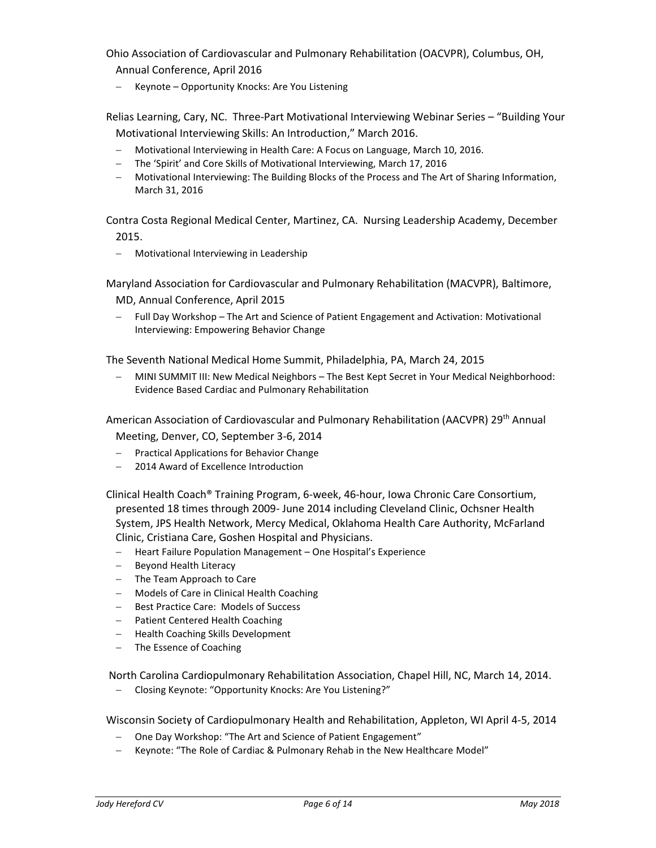Ohio Association of Cardiovascular and Pulmonary Rehabilitation (OACVPR), Columbus, OH, Annual Conference, April 2016

- Keynote - Opportunity Knocks: Are You Listening

Relias Learning, Cary, NC. Three-Part Motivational Interviewing Webinar Series – "Building Your Motivational Interviewing Skills: An Introduction," March 2016.

- Motivational Interviewing in Health Care: A Focus on Language, March 10, 2016.
- The 'Spirit' and Core Skills of Motivational Interviewing, March 17, 2016
- Motivational Interviewing: The Building Blocks of the Process and The Art of Sharing Information, March 31, 2016

Contra Costa Regional Medical Center, Martinez, CA. Nursing Leadership Academy, December 2015.

Motivational Interviewing in Leadership

Maryland Association for Cardiovascular and Pulmonary Rehabilitation (MACVPR), Baltimore,

MD, Annual Conference, April 2015

 Full Day Workshop – The Art and Science of Patient Engagement and Activation: Motivational Interviewing: Empowering Behavior Change

The Seventh National Medical Home Summit, Philadelphia, PA, March 24, 2015

 MINI SUMMIT III: New Medical Neighbors – The Best Kept Secret in Your Medical Neighborhood: Evidence Based Cardiac and Pulmonary Rehabilitation

American Association of Cardiovascular and Pulmonary Rehabilitation (AACVPR) 29<sup>th</sup> Annual Meeting, Denver, CO, September 3-6, 2014

- Practical Applications for Behavior Change
- 2014 Award of Excellence Introduction

Clinical Health Coach® Training Program, 6-week, 46-hour, Iowa Chronic Care Consortium, presented 18 times through 2009- June 2014 including Cleveland Clinic, Ochsner Health System, JPS Health Network, Mercy Medical, Oklahoma Health Care Authority, McFarland Clinic, Cristiana Care, Goshen Hospital and Physicians.

- Heart Failure Population Management One Hospital's Experience
- Beyond Health Literacy
- The Team Approach to Care
- Models of Care in Clinical Health Coaching
- Best Practice Care: Models of Success
- Patient Centered Health Coaching
- Health Coaching Skills Development
- The Essence of Coaching

North Carolina Cardiopulmonary Rehabilitation Association, Chapel Hill, NC, March 14, 2014.

- Closing Keynote: "Opportunity Knocks: Are You Listening?"

Wisconsin Society of Cardiopulmonary Health and Rehabilitation, Appleton, WI April 4-5, 2014

- One Day Workshop: "The Art and Science of Patient Engagement"
- Keynote: "The Role of Cardiac & Pulmonary Rehab in the New Healthcare Model"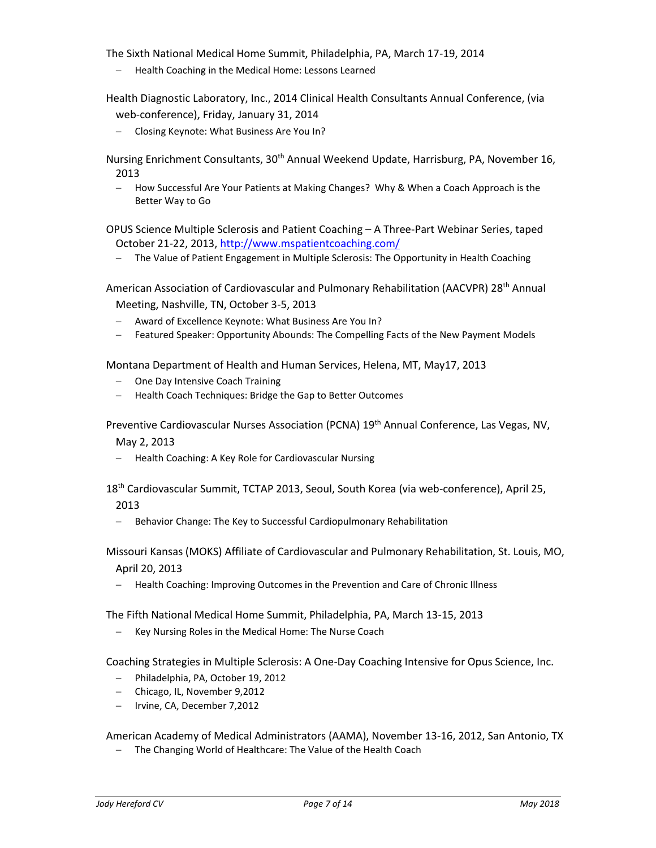The Sixth National Medical Home Summit, Philadelphia, PA, March 17-19, 2014

Health Coaching in the Medical Home: Lessons Learned

Health Diagnostic Laboratory, Inc., 2014 Clinical Health Consultants Annual Conference, (via web-conference), Friday, January 31, 2014

- Closing Keynote: What Business Are You In?

Nursing Enrichment Consultants, 30<sup>th</sup> Annual Weekend Update, Harrisburg, PA, November 16, 2013

 How Successful Are Your Patients at Making Changes? Why & When a Coach Approach is the Better Way to Go

OPUS Science Multiple Sclerosis and Patient Coaching – A Three-Part Webinar Series, taped October 21-22, 2013[, http://www.mspatientcoaching.com/](http://www.mspatientcoaching.com/)

The Value of Patient Engagement in Multiple Sclerosis: The Opportunity in Health Coaching

American Association of Cardiovascular and Pulmonary Rehabilitation (AACVPR) 28<sup>th</sup> Annual Meeting, Nashville, TN, October 3-5, 2013

- Award of Excellence Keynote: What Business Are You In?
- Featured Speaker: Opportunity Abounds: The Compelling Facts of the New Payment Models

Montana Department of Health and Human Services, Helena, MT, May17, 2013

- One Day Intensive Coach Training
- Health Coach Techniques: Bridge the Gap to Better Outcomes

Preventive Cardiovascular Nurses Association (PCNA) 19th Annual Conference, Las Vegas, NV,

May 2, 2013

- Health Coaching: A Key Role for Cardiovascular Nursing

18th Cardiovascular Summit, TCTAP 2013, Seoul, South Korea (via web-conference), April 25,

2013

- Behavior Change: The Key to Successful Cardiopulmonary Rehabilitation

Missouri Kansas (MOKS) Affiliate of Cardiovascular and Pulmonary Rehabilitation, St. Louis, MO, April 20, 2013

- Health Coaching: Improving Outcomes in the Prevention and Care of Chronic Illness

The Fifth National Medical Home Summit, Philadelphia, PA, March 13-15, 2013

- Key Nursing Roles in the Medical Home: The Nurse Coach

Coaching Strategies in Multiple Sclerosis: A One-Day Coaching Intensive for Opus Science, Inc.

- Philadelphia, PA, October 19, 2012
- Chicago, IL, November 9,2012
- Irvine, CA, December 7,2012

American Academy of Medical Administrators (AAMA), November 13-16, 2012, San Antonio, TX

- The Changing World of Healthcare: The Value of the Health Coach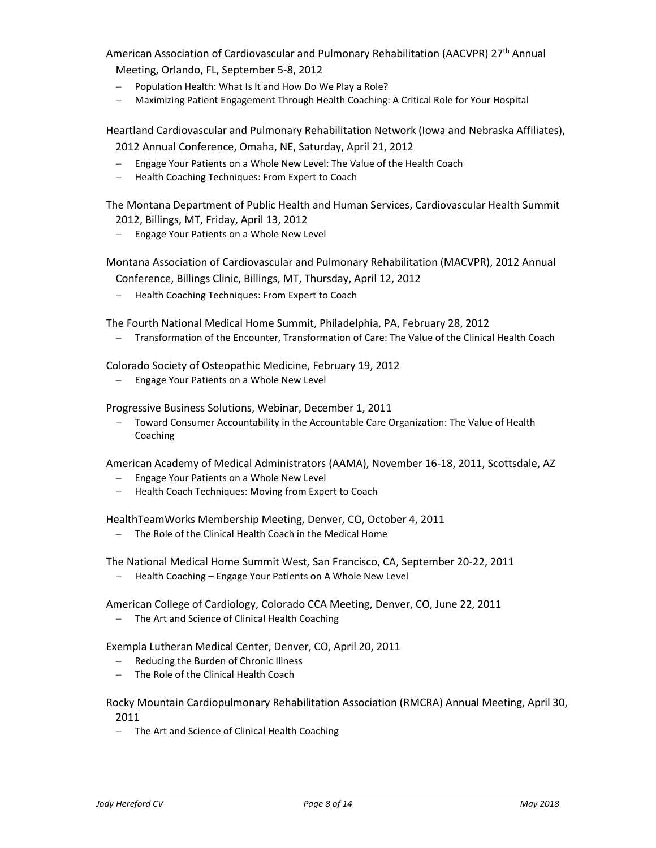American Association of Cardiovascular and Pulmonary Rehabilitation (AACVPR) 27<sup>th</sup> Annual Meeting, Orlando, FL, September 5-8, 2012

- Population Health: What Is It and How Do We Play a Role?
- Maximizing Patient Engagement Through Health Coaching: A Critical Role for Your Hospital

Heartland Cardiovascular and Pulmonary Rehabilitation Network (Iowa and Nebraska Affiliates),

2012 Annual Conference, Omaha, NE, Saturday, April 21, 2012

- Engage Your Patients on a Whole New Level: The Value of the Health Coach
- Health Coaching Techniques: From Expert to Coach

The Montana Department of Public Health and Human Services, Cardiovascular Health Summit 2012, Billings, MT, Friday, April 13, 2012

- Engage Your Patients on a Whole New Level

Montana Association of Cardiovascular and Pulmonary Rehabilitation (MACVPR), 2012 Annual

Conference, Billings Clinic, Billings, MT, Thursday, April 12, 2012

- Health Coaching Techniques: From Expert to Coach

The Fourth National Medical Home Summit, Philadelphia, PA, February 28, 2012

Transformation of the Encounter, Transformation of Care: The Value of the Clinical Health Coach

Colorado Society of Osteopathic Medicine, February 19, 2012

- Engage Your Patients on a Whole New Level

Progressive Business Solutions, Webinar, December 1, 2011

 Toward Consumer Accountability in the Accountable Care Organization: The Value of Health Coaching

American Academy of Medical Administrators (AAMA), November 16-18, 2011, Scottsdale, AZ

- Engage Your Patients on a Whole New Level
- Health Coach Techniques: Moving from Expert to Coach

HealthTeamWorks Membership Meeting, Denver, CO, October 4, 2011

The Role of the Clinical Health Coach in the Medical Home

The National Medical Home Summit West, San Francisco, CA, September 20-22, 2011

Health Coaching – Engage Your Patients on A Whole New Level

American College of Cardiology, Colorado CCA Meeting, Denver, CO, June 22, 2011

- The Art and Science of Clinical Health Coaching

Exempla Lutheran Medical Center, Denver, CO, April 20, 2011

- Reducing the Burden of Chronic Illness
- The Role of the Clinical Health Coach

Rocky Mountain Cardiopulmonary Rehabilitation Association (RMCRA) Annual Meeting, April 30, 2011

- The Art and Science of Clinical Health Coaching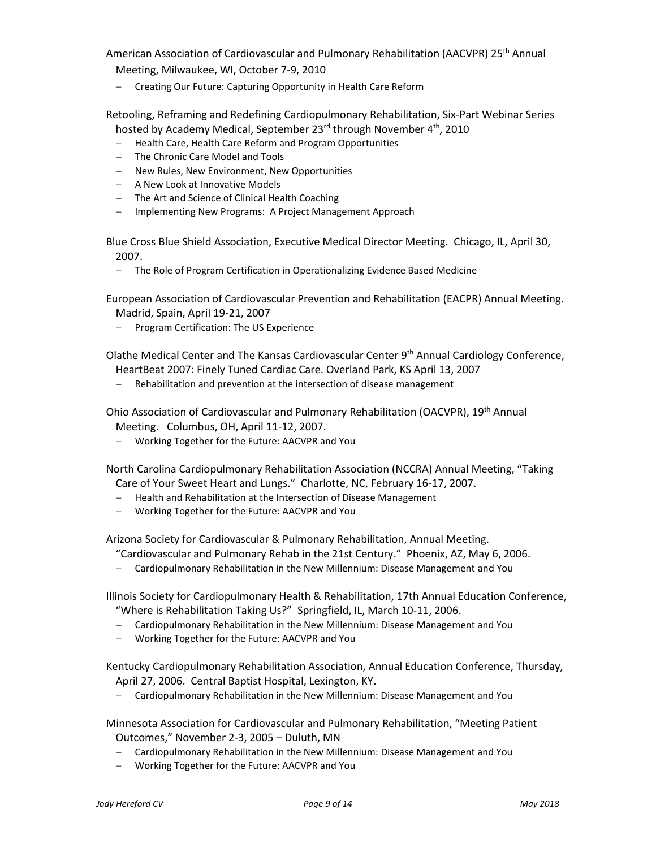American Association of Cardiovascular and Pulmonary Rehabilitation (AACVPR) 25<sup>th</sup> Annual Meeting, Milwaukee, WI, October 7-9, 2010

- Creating Our Future: Capturing Opportunity in Health Care Reform

Retooling, Reframing and Redefining Cardiopulmonary Rehabilitation, Six-Part Webinar Series hosted by Academy Medical, September 23<sup>rd</sup> through November 4<sup>th</sup>, 2010

- Health Care, Health Care Reform and Program Opportunities
- The Chronic Care Model and Tools
- New Rules, New Environment, New Opportunities
- A New Look at Innovative Models
- The Art and Science of Clinical Health Coaching
- Implementing New Programs: A Project Management Approach

Blue Cross Blue Shield Association, Executive Medical Director Meeting. Chicago, IL, April 30, 2007.

- The Role of Program Certification in Operationalizing Evidence Based Medicine

European Association of Cardiovascular Prevention and Rehabilitation (EACPR) Annual Meeting. Madrid, Spain, April 19-21, 2007

- Program Certification: The US Experience

Olathe Medical Center and The Kansas Cardiovascular Center 9th Annual Cardiology Conference, HeartBeat 2007: Finely Tuned Cardiac Care. Overland Park, KS April 13, 2007

Rehabilitation and prevention at the intersection of disease management

Ohio Association of Cardiovascular and Pulmonary Rehabilitation (OACVPR), 19th Annual Meeting. Columbus, OH, April 11-12, 2007.

Working Together for the Future: AACVPR and You

North Carolina Cardiopulmonary Rehabilitation Association (NCCRA) Annual Meeting, "Taking Care of Your Sweet Heart and Lungs." Charlotte, NC, February 16-17, 2007.

- Health and Rehabilitation at the Intersection of Disease Management
- Working Together for the Future: AACVPR and You

Arizona Society for Cardiovascular & Pulmonary Rehabilitation, Annual Meeting.

"Cardiovascular and Pulmonary Rehab in the 21st Century." Phoenix, AZ, May 6, 2006.

Cardiopulmonary Rehabilitation in the New Millennium: Disease Management and You

[Illinois Society for Cardiopulmonary Health & Rehabilitation,](http://www.ischr.org/) 17th Annual Education Conference, "Where is Rehabilitation Taking Us?" Springfield, IL, March 10-11, 2006.

- Cardiopulmonary Rehabilitation in the New Millennium: Disease Management and You
- Working Together for the Future: AACVPR and You

[Kentucky Cardiopulmonary Rehabilitation Association,](http://www.kcra-net.com/) Annual Education Conference, Thursday, April 27, 2006. Central Baptist Hospital, Lexington, KY.

Cardiopulmonary Rehabilitation in the New Millennium: Disease Management and You

Minnesota Association for Cardiovascular and Pulmonary Rehabilitation, "Meeting Patient Outcomes," November 2-3, 2005 – Duluth, MN

- Cardiopulmonary Rehabilitation in the New Millennium: Disease Management and You
- Working Together for the Future: AACVPR and You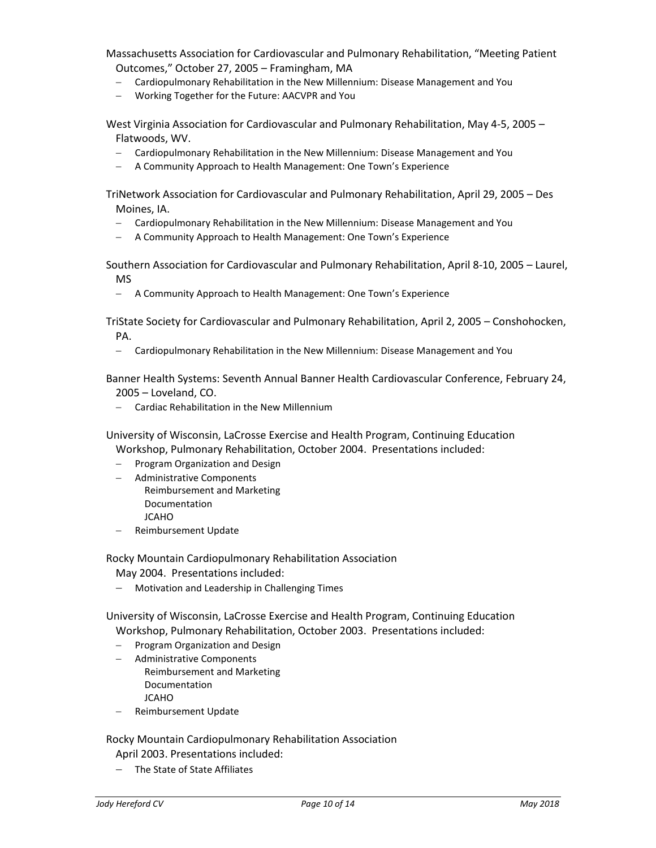Massachusetts Association for Cardiovascular and Pulmonary Rehabilitation, "Meeting Patient Outcomes," October 27, 2005 – Framingham, MA

- Cardiopulmonary Rehabilitation in the New Millennium: Disease Management and You
- Working Together for the Future: AACVPR and You

West Virginia Association for Cardiovascular and Pulmonary Rehabilitation, May 4-5, 2005 – Flatwoods, WV.

- Cardiopulmonary Rehabilitation in the New Millennium: Disease Management and You
- A Community Approach to Health Management: One Town's Experience

TriNetwork Association for Cardiovascular and Pulmonary Rehabilitation, April 29, 2005 – Des Moines, IA.

- Cardiopulmonary Rehabilitation in the New Millennium: Disease Management and You
- A Community Approach to Health Management: One Town's Experience

Southern Association for Cardiovascular and Pulmonary Rehabilitation, April 8-10, 2005 – Laurel, MS

A Community Approach to Health Management: One Town's Experience

TriState Society for Cardiovascular and Pulmonary Rehabilitation, April 2, 2005 – Conshohocken, PA.

Cardiopulmonary Rehabilitation in the New Millennium: Disease Management and You

Banner Health Systems: Seventh Annual Banner Health Cardiovascular Conference, February 24, 2005 – Loveland, CO.

Cardiac Rehabilitation in the New Millennium

University of Wisconsin, LaCrosse Exercise and Health Program, Continuing Education Workshop, Pulmonary Rehabilitation, October 2004. Presentations included:

- Program Organization and Design
- Administrative Components
	- Reimbursement and Marketing Documentation
	- JCAHO
- Reimbursement Update

Rocky Mountain Cardiopulmonary Rehabilitation Association May 2004. Presentations included:

Motivation and Leadership in Challenging Times

University of Wisconsin, LaCrosse Exercise and Health Program, Continuing Education Workshop, Pulmonary Rehabilitation, October 2003. Presentations included:

- Program Organization and Design
- Administrative Components Reimbursement and Marketing Documentation JCAHO
- Reimbursement Update

Rocky Mountain Cardiopulmonary Rehabilitation Association April 2003. Presentations included:

The State of State Affiliates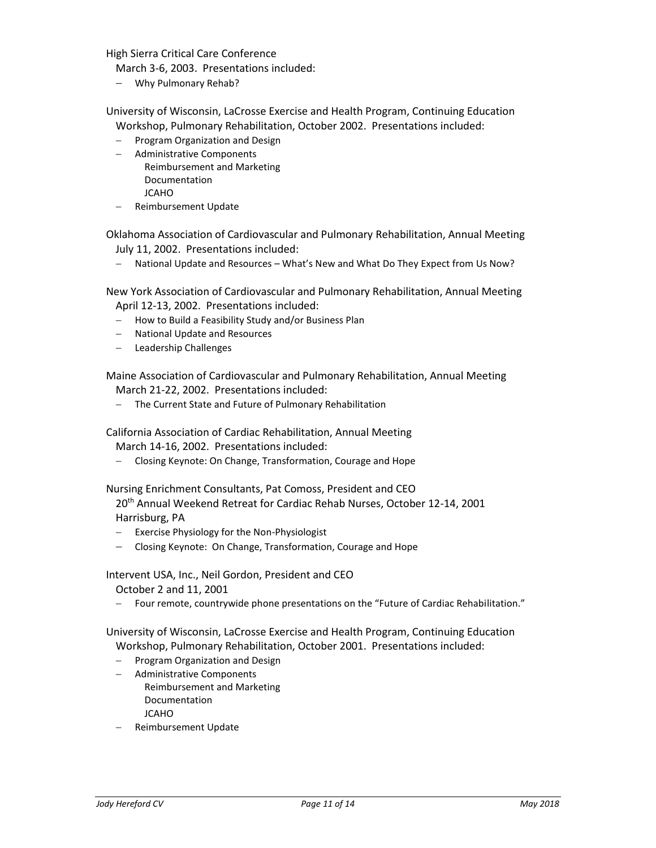High Sierra Critical Care Conference

March 3-6, 2003. Presentations included:

Why Pulmonary Rehab?

University of Wisconsin, LaCrosse Exercise and Health Program, Continuing Education Workshop, Pulmonary Rehabilitation, October 2002. Presentations included:

- Program Organization and Design
- Administrative Components
	- Reimbursement and Marketing Documentation
		- JCAHO
- Reimbursement Update

Oklahoma Association of Cardiovascular and Pulmonary Rehabilitation, Annual Meeting July 11, 2002. Presentations included:

National Update and Resources – What's New and What Do They Expect from Us Now?

New York Association of Cardiovascular and Pulmonary Rehabilitation, Annual Meeting April 12-13, 2002. Presentations included:

- $-$  How to Build a Feasibility Study and/or Business Plan
- National Update and Resources
- Leadership Challenges

Maine Association of Cardiovascular and Pulmonary Rehabilitation, Annual Meeting March 21-22, 2002. Presentations included:

The Current State and Future of Pulmonary Rehabilitation

California Association of Cardiac Rehabilitation, Annual Meeting

March 14-16, 2002. Presentations included:

Closing Keynote: On Change, Transformation, Courage and Hope

Nursing Enrichment Consultants, Pat Comoss, President and CEO

20th Annual Weekend Retreat for Cardiac Rehab Nurses, October 12-14, 2001 Harrisburg, PA

- Exercise Physiology for the Non-Physiologist
- Closing Keynote: On Change, Transformation, Courage and Hope

Intervent USA, Inc., Neil Gordon, President and CEO

October 2 and 11, 2001

- Four remote, countrywide phone presentations on the "Future of Cardiac Rehabilitation."

University of Wisconsin, LaCrosse Exercise and Health Program, Continuing Education Workshop, Pulmonary Rehabilitation, October 2001. Presentations included:

- $-$  Program Organization and Design
- Administrative Components Reimbursement and Marketing Documentation JCAHO
- Reimbursement Update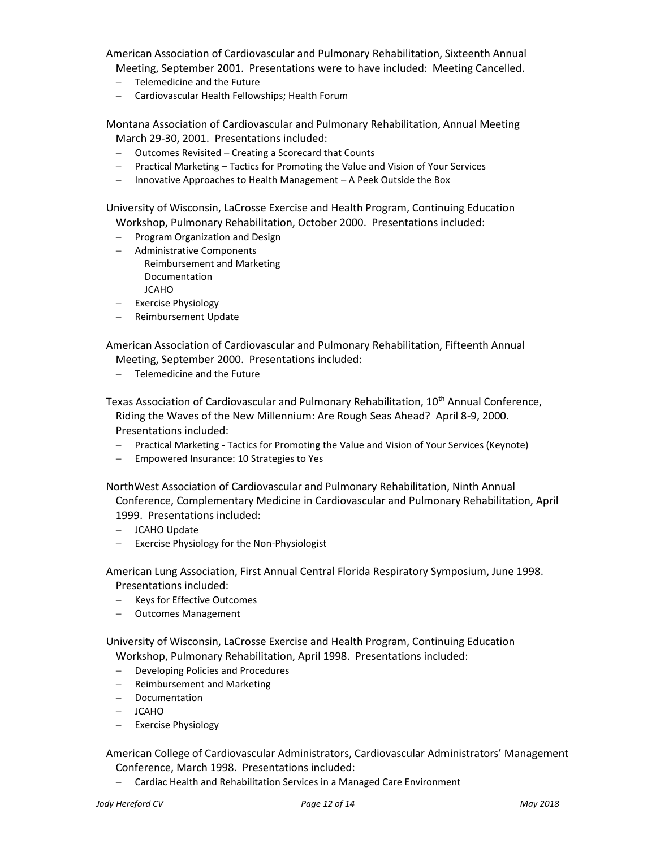American Association of Cardiovascular and Pulmonary Rehabilitation, Sixteenth Annual

- Meeting, September 2001. Presentations were to have included: Meeting Cancelled.
- Telemedicine and the Future
- Cardiovascular Health Fellowships; Health Forum

Montana Association of Cardiovascular and Pulmonary Rehabilitation, Annual Meeting March 29-30, 2001. Presentations included:

- Outcomes Revisited Creating a Scorecard that Counts
- Practical Marketing Tactics for Promoting the Value and Vision of Your Services
- Innovative Approaches to Health Management A Peek Outside the Box

University of Wisconsin, LaCrosse Exercise and Health Program, Continuing Education Workshop, Pulmonary Rehabilitation, October 2000. Presentations included:

- $-$  Program Organization and Design
- Administrative Components Reimbursement and Marketing Documentation **JCAHO**
- Exercise Physiology
- Reimbursement Update

American Association of Cardiovascular and Pulmonary Rehabilitation, Fifteenth Annual Meeting, September 2000. Presentations included:

- Telemedicine and the Future

Texas Association of Cardiovascular and Pulmonary Rehabilitation, 10<sup>th</sup> Annual Conference, Riding the Waves of the New Millennium: Are Rough Seas Ahead? April 8-9, 2000. Presentations included:

- Practical Marketing Tactics for Promoting the Value and Vision of Your Services (Keynote)
- Empowered Insurance: 10 Strategies to Yes

NorthWest Association of Cardiovascular and Pulmonary Rehabilitation, Ninth Annual Conference, Complementary Medicine in Cardiovascular and Pulmonary Rehabilitation, April 1999. Presentations included:

- JCAHO Update
- Exercise Physiology for the Non-Physiologist

American Lung Association, First Annual Central Florida Respiratory Symposium, June 1998. Presentations included:

- Keys for Effective Outcomes
- Outcomes Management

University of Wisconsin, LaCrosse Exercise and Health Program, Continuing Education Workshop, Pulmonary Rehabilitation, April 1998. Presentations included:

- Developing Policies and Procedures
- Reimbursement and Marketing
- Documentation
- JCAHO
- Exercise Physiology

American College of Cardiovascular Administrators, Cardiovascular Administrators' Management Conference, March 1998. Presentations included:

- Cardiac Health and Rehabilitation Services in a Managed Care Environment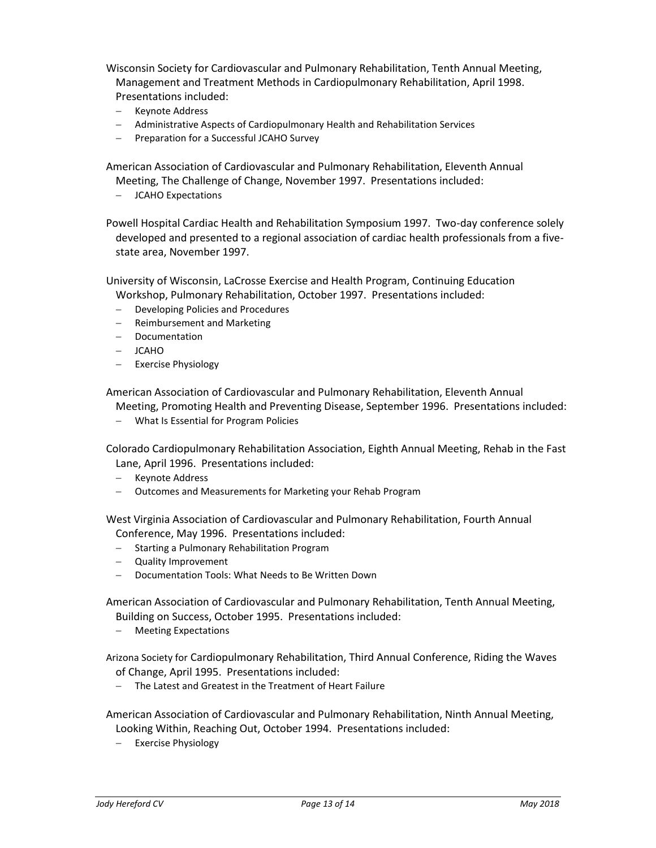Wisconsin Society for Cardiovascular and Pulmonary Rehabilitation, Tenth Annual Meeting, Management and Treatment Methods in Cardiopulmonary Rehabilitation, April 1998. Presentations included:

- Keynote Address
- Administrative Aspects of Cardiopulmonary Health and Rehabilitation Services
- Preparation for a Successful JCAHO Survey

American Association of Cardiovascular and Pulmonary Rehabilitation, Eleventh Annual Meeting, The Challenge of Change, November 1997. Presentations included:

JCAHO Expectations

Powell Hospital Cardiac Health and Rehabilitation Symposium 1997. Two-day conference solely developed and presented to a regional association of cardiac health professionals from a fivestate area, November 1997.

University of Wisconsin, LaCrosse Exercise and Health Program, Continuing Education Workshop, Pulmonary Rehabilitation, October 1997. Presentations included:

- Developing Policies and Procedures
- Reimbursement and Marketing
- Documentation
- JCAHO
- Exercise Physiology

American Association of Cardiovascular and Pulmonary Rehabilitation, Eleventh Annual

Meeting, Promoting Health and Preventing Disease, September 1996. Presentations included:

What Is Essential for Program Policies

Colorado Cardiopulmonary Rehabilitation Association, Eighth Annual Meeting, Rehab in the Fast Lane, April 1996. Presentations included:

- Keynote Address
- Outcomes and Measurements for Marketing your Rehab Program

West Virginia Association of Cardiovascular and Pulmonary Rehabilitation, Fourth Annual Conference, May 1996. Presentations included:

- Starting a Pulmonary Rehabilitation Program
- Quality Improvement
- Documentation Tools: What Needs to Be Written Down

American Association of Cardiovascular and Pulmonary Rehabilitation, Tenth Annual Meeting, Building on Success, October 1995. Presentations included:

- Meeting Expectations

Arizona Society for Cardiopulmonary Rehabilitation, Third Annual Conference, Riding the Waves of Change, April 1995. Presentations included:

- The Latest and Greatest in the Treatment of Heart Failure

American Association of Cardiovascular and Pulmonary Rehabilitation, Ninth Annual Meeting, Looking Within, Reaching Out, October 1994. Presentations included:

- Exercise Physiology